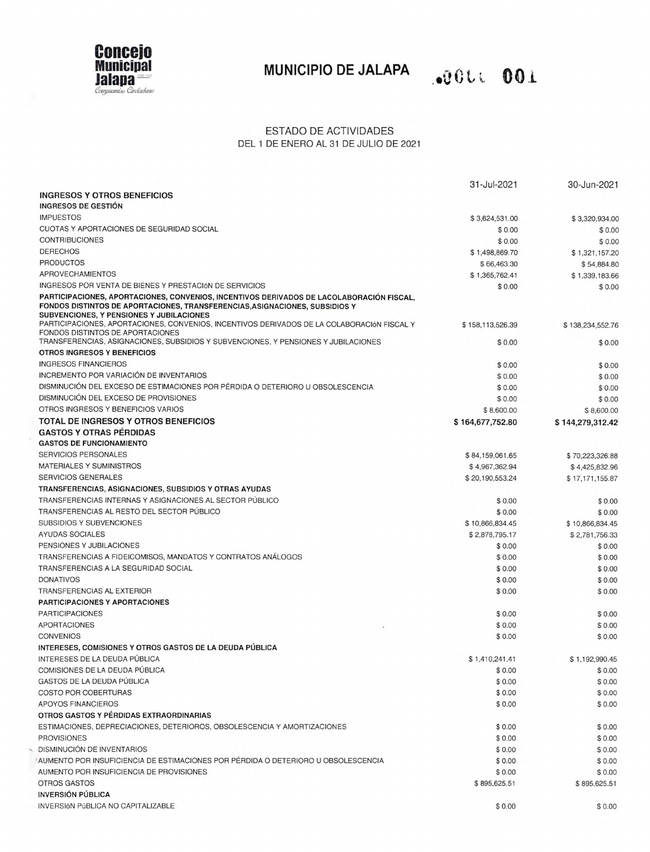

# **MUNICIPIO DE JALAPA OUL OO1**

### ESTADO DE ACTIVIDADES DEL 1 DE ENERO AL 31 DE JULIO DE 2021

|                                                                                                                                                                                                                      | 31-Jul-2021                | 30-Jun-2021                |
|----------------------------------------------------------------------------------------------------------------------------------------------------------------------------------------------------------------------|----------------------------|----------------------------|
| <b>INGRESOS Y OTROS BENEFICIOS</b>                                                                                                                                                                                   |                            |                            |
| <b>INGRESOS DE GESTIÓN</b>                                                                                                                                                                                           |                            |                            |
| <b>IMPUESTOS</b>                                                                                                                                                                                                     | \$3,624,531.00             | \$3,320,934.00             |
| CUOTAS Y APORTACIONES DE SEGURIDAD SOCIAL                                                                                                                                                                            | \$0.00                     | \$0.00                     |
| <b>CONTRIBUCIONES</b>                                                                                                                                                                                                | \$0.00                     | \$0.00                     |
| <b>DERECHOS</b>                                                                                                                                                                                                      | \$1,498,869.70             | \$1,321,157.20             |
| <b>PRODUCTOS</b>                                                                                                                                                                                                     | \$66,463.30                | \$54,884.80                |
| <b>APROVECHAMIENTOS</b>                                                                                                                                                                                              | \$1,365,762.41             | \$1,339,183.66             |
| INGRESOS POR VENTA DE BIENES Y PRESTACIÓN DE SERVICIOS                                                                                                                                                               | \$0.00                     | \$0.00                     |
| PARTICIPACIONES, APORTACIONES, CONVENIOS, INCENTIVOS DERIVADOS DE LACOLABORACIÓN FISCAL.<br>FONDOS DISTINTOS DE APORTACIONES, TRANSFERENCIAS, ASIGNACIONES, SUBSIDIOS Y<br>SUBVENCIONES, Y PENSIONES Y JUBILACIONES  |                            |                            |
| PARTICIPACIONES, APORTACIONES, CONVENIOS, INCENTIVOS DERIVADOS DE LA COLABORACIÓN FISCAL Y<br>FONDOS DISTINTOS DE APORTACIONES<br>TRANSFERENCIAS, ASIGNACIONES, SUBSIDIOS Y SUBVENCIONES, Y PENSIONES Y JUBILACIONES | \$158,113,526.39<br>\$0.00 | \$138,234,552.76<br>\$0.00 |
| OTROS INGRESOS Y BENEFICIOS                                                                                                                                                                                          |                            |                            |
| <b>INGRESOS FINANCIEROS</b>                                                                                                                                                                                          | \$0.00                     | \$0.00                     |
| INCREMENTO POR VARIACIÓN DE INVENTARIOS                                                                                                                                                                              | \$0.00                     | \$0.00                     |
| DISMINUCIÓN DEL EXCESO DE ESTIMACIONES POR PÉRDIDA O DETERIORO U OBSOLESCENCIA                                                                                                                                       | \$0.00                     | \$0.00                     |
| DISMINUCIÓN DEL EXCESO DE PROVISIONES                                                                                                                                                                                | \$0.00                     |                            |
| OTROS INGRESOS Y BENEFICIOS VARIOS                                                                                                                                                                                   |                            | \$0.00                     |
|                                                                                                                                                                                                                      | \$8,600.00                 | \$8,600.00                 |
| TOTAL DE INGRESOS Y OTROS BENEFICIOS                                                                                                                                                                                 | \$164,677,752.80           | \$144,279,312.42           |
| <b>GASTOS Y OTRAS PÉRDIDAS</b>                                                                                                                                                                                       |                            |                            |
| <b>GASTOS DE FUNCIONAMIENTO</b>                                                                                                                                                                                      |                            |                            |
| <b>SERVICIOS PERSONALES</b>                                                                                                                                                                                          | \$84,159,061.65            | \$70,223,326.88            |
| <b>MATERIALES Y SUMINISTROS</b>                                                                                                                                                                                      | \$4,967,362.94             | \$4,425,832.96             |
| <b>SERVICIOS GENERALES</b>                                                                                                                                                                                           | \$20,190,553.24            | \$17,171,155.87            |
| TRANSFERENCIAS, ASIGNACIONES, SUBSIDIOS Y OTRAS AYUDAS                                                                                                                                                               |                            |                            |
| TRANSFERENCIAS INTERNAS Y ASIGNACIONES AL SECTOR PÚBLICO                                                                                                                                                             | \$0.00                     | \$0.00                     |
| TRANSFERENCIAS AL RESTO DEL SECTOR PÚBLICO                                                                                                                                                                           | \$0.00                     | \$0.00                     |
| <b>SUBSIDIOS Y SUBVENCIONES</b>                                                                                                                                                                                      | \$10,866,834.45            | \$10,866,834.45            |
| <b>AYUDAS SOCIALES</b>                                                                                                                                                                                               | \$2,878,795.17             | \$2,781,756.33             |
| PENSIONES Y JUBILACIONES                                                                                                                                                                                             | \$0.00                     | \$0.00                     |
| TRANSFERENCIAS A FIDEICOMISOS, MANDATOS Y CONTRATOS ANÁLOGOS                                                                                                                                                         | \$0.00                     | \$0.00                     |
| TRANSFERENCIAS A LA SEGURIDAD SOCIAL                                                                                                                                                                                 | \$0.00                     | \$0.00                     |
| <b>DONATIVOS</b>                                                                                                                                                                                                     | \$0.00                     | \$0.00                     |
| TRANSFERENCIAS AL EXTERIOR                                                                                                                                                                                           | \$0.00                     | \$0.00                     |
| <b>PARTICIPACIONES Y APORTACIONES</b>                                                                                                                                                                                |                            |                            |
| <b>PARTICIPACIONES</b>                                                                                                                                                                                               | \$0.00                     | \$0.00                     |
| <b>APORTACIONES</b>                                                                                                                                                                                                  | \$0.00                     | \$0.00                     |
| <b>CONVENIOS</b>                                                                                                                                                                                                     | \$0.00                     | \$0.00                     |
| INTERESES, COMISIONES Y OTROS GASTOS DE LA DEUDA PÚBLICA                                                                                                                                                             |                            |                            |
| INTERESES DE LA DEUDA PÚBLICA                                                                                                                                                                                        | \$1,410,241.41             | \$1,192,990.45             |
| COMISIONES DE LA DEUDA PÚBLICA                                                                                                                                                                                       | \$0.00                     | \$0.00                     |
| GASTOS DE LA DEUDA PÚBLICA                                                                                                                                                                                           | \$0.00                     | \$0.00                     |
| <b>COSTO POR COBERTURAS</b>                                                                                                                                                                                          | \$0.00                     | \$0.00                     |
| <b>APOYOS FINANCIEROS</b>                                                                                                                                                                                            | \$0.00                     | \$0.00                     |
| OTROS GASTOS Y PÉRDIDAS EXTRAORDINARIAS                                                                                                                                                                              |                            |                            |
| ESTIMACIONES, DEPRECIACIONES, DETERIOROS, OBSOLESCENCIA Y AMORTIZACIONES                                                                                                                                             | \$0.00                     | \$0.00                     |
| <b>PROVISIONES</b>                                                                                                                                                                                                   | \$0.00                     | \$0.00                     |
| DISMINUCIÓN DE INVENTARIOS                                                                                                                                                                                           | \$0.00                     | \$0.00                     |
| AUMENTO POR INSUFICIENCIA DE ESTIMACIONES POR PÉRDIDA O DETERIORO U OBSOLESCENCIA                                                                                                                                    | \$0.00                     | \$0.00                     |
| AUMENTO POR INSUFICIENCIA DE PROVISIONES                                                                                                                                                                             | \$0.00                     | \$0.00                     |
| OTROS GASTOS                                                                                                                                                                                                         | \$895,625.51               | \$895,625.51               |
| <b>INVERSIÓN PÚBLICA</b>                                                                                                                                                                                             |                            |                            |
| <b>INVERSIÓN PÚBLICA NO CAPITALIZABLE</b>                                                                                                                                                                            | \$0.00                     | \$0.00                     |
|                                                                                                                                                                                                                      |                            |                            |